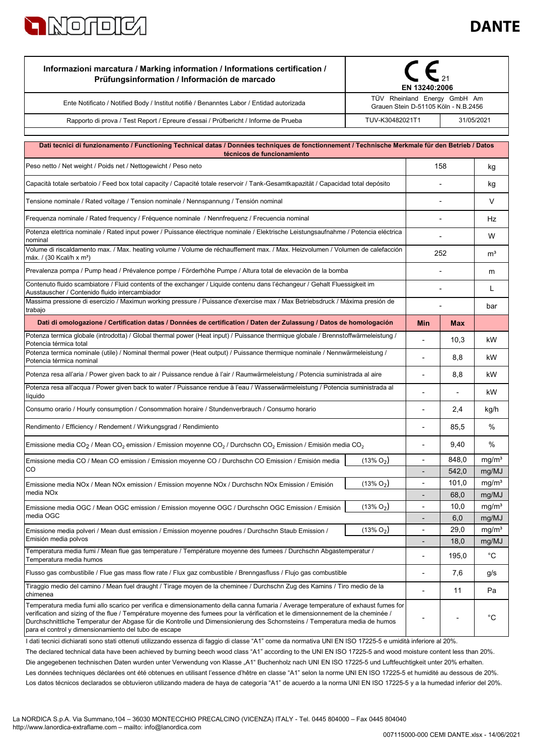

| TÜV Rheinland Energy GmbH Am<br>Ente Notificato / Notified Body / Institut notifiè / Benanntes Labor / Entidad autorizada<br>Grauen Stein D-51105 Köln - N.B.2456<br>TUV-K30482021T1<br>Rapporto di prova / Test Report / Epreure d'essai / Prüfbericht / Informe de Prueba<br>Dati tecnici di funzionamento / Functioning Technical datas / Données techniques de fonctionnement / Technische Merkmale für den Betrieb / Datos<br>técnicos de funcionamiento<br>158<br>Peso netto / Net weight / Poids net / Nettogewicht / Peso neto<br>Capacità totale serbatoio / Feed box total capacity / Capacité totale reservoir / Tank-Gesamtkapazität / Capacidad total depósito<br>Tensione nominale / Rated voltage / Tension nominale / Nennspannung / Tensión nominal<br>Frequenza nominale / Rated frequency / Fréquence nominale / Nennfrequenz / Frecuencia nominal | 31/05/2021<br>kg<br>kg<br>V<br>Hz<br>W<br>m <sup>3</sup><br>m<br>L |
|-----------------------------------------------------------------------------------------------------------------------------------------------------------------------------------------------------------------------------------------------------------------------------------------------------------------------------------------------------------------------------------------------------------------------------------------------------------------------------------------------------------------------------------------------------------------------------------------------------------------------------------------------------------------------------------------------------------------------------------------------------------------------------------------------------------------------------------------------------------------------|--------------------------------------------------------------------|
|                                                                                                                                                                                                                                                                                                                                                                                                                                                                                                                                                                                                                                                                                                                                                                                                                                                                       |                                                                    |
|                                                                                                                                                                                                                                                                                                                                                                                                                                                                                                                                                                                                                                                                                                                                                                                                                                                                       |                                                                    |
|                                                                                                                                                                                                                                                                                                                                                                                                                                                                                                                                                                                                                                                                                                                                                                                                                                                                       |                                                                    |
|                                                                                                                                                                                                                                                                                                                                                                                                                                                                                                                                                                                                                                                                                                                                                                                                                                                                       |                                                                    |
|                                                                                                                                                                                                                                                                                                                                                                                                                                                                                                                                                                                                                                                                                                                                                                                                                                                                       |                                                                    |
|                                                                                                                                                                                                                                                                                                                                                                                                                                                                                                                                                                                                                                                                                                                                                                                                                                                                       |                                                                    |
|                                                                                                                                                                                                                                                                                                                                                                                                                                                                                                                                                                                                                                                                                                                                                                                                                                                                       |                                                                    |
|                                                                                                                                                                                                                                                                                                                                                                                                                                                                                                                                                                                                                                                                                                                                                                                                                                                                       |                                                                    |
| Potenza elettrica nominale / Rated input power / Puissance électrique nominale / Elektrische Leistungsaufnahme / Potencia eléctrica<br>nominal                                                                                                                                                                                                                                                                                                                                                                                                                                                                                                                                                                                                                                                                                                                        |                                                                    |
| Volume di riscaldamento max. / Max. heating volume / Volume de réchauffement max. / Max. Heizvolumen / Volumen de calefacción<br>252<br>máx. / (30 Kcal/h x m <sup>3</sup> )                                                                                                                                                                                                                                                                                                                                                                                                                                                                                                                                                                                                                                                                                          |                                                                    |
| Prevalenza pompa / Pump head / Prévalence pompe / Förderhöhe Pumpe / Altura total de elevaciòn de la bomba                                                                                                                                                                                                                                                                                                                                                                                                                                                                                                                                                                                                                                                                                                                                                            |                                                                    |
| Contenuto fluido scambiatore / Fluid contents of the exchanger / Liquide contenu dans l'échangeur / Gehalt Fluessigkeit im<br>Ausstauscher / Contenido fluido intercambiador                                                                                                                                                                                                                                                                                                                                                                                                                                                                                                                                                                                                                                                                                          |                                                                    |
| Massima pressione di esercizio / Maximun working pressure / Puissance d'exercise max / Max Betriebsdruck / Máxima presión de<br>trabajo                                                                                                                                                                                                                                                                                                                                                                                                                                                                                                                                                                                                                                                                                                                               | bar                                                                |
| Dati di omologazione / Certification datas / Données de certification / Daten der Zulassung / Datos de homologación<br>Min<br><b>Max</b>                                                                                                                                                                                                                                                                                                                                                                                                                                                                                                                                                                                                                                                                                                                              |                                                                    |
| Potenza termica globale (introdotta) / Global thermal power (Heat input) / Puissance thermique globale / Brennstoffwärmeleistung /<br>10,3<br>Potencia térmica total                                                                                                                                                                                                                                                                                                                                                                                                                                                                                                                                                                                                                                                                                                  | kW                                                                 |
| Potenza termica nominale (utile) / Nominal thermal power (Heat output) / Puissance thermique nominale / Nennwärmeleistung /<br>8,8<br>Potencia térmica nominal                                                                                                                                                                                                                                                                                                                                                                                                                                                                                                                                                                                                                                                                                                        | kW                                                                 |
| Potenza resa all'aria / Power given back to air / Puissance rendue à l'air / Raumwärmeleistung / Potencia suministrada al aire<br>8,8                                                                                                                                                                                                                                                                                                                                                                                                                                                                                                                                                                                                                                                                                                                                 | kW                                                                 |
| Potenza resa all'acqua / Power given back to water / Puissance rendue à l'eau / Wasserwärmeleistung / Potencia suministrada al<br>líquido                                                                                                                                                                                                                                                                                                                                                                                                                                                                                                                                                                                                                                                                                                                             | kW                                                                 |
| Consumo orario / Hourly consumption / Consommation horaire / Stundenverbrauch / Consumo horario<br>2,4                                                                                                                                                                                                                                                                                                                                                                                                                                                                                                                                                                                                                                                                                                                                                                | kg/h                                                               |
| Rendimento / Efficiency / Rendement / Wirkungsgrad / Rendimiento<br>85,5                                                                                                                                                                                                                                                                                                                                                                                                                                                                                                                                                                                                                                                                                                                                                                                              | %                                                                  |
| Emissione media CO <sub>2</sub> / Mean CO <sub>2</sub> emission / Emission moyenne CO <sub>2</sub> / Durchschn CO <sub>2</sub> Emission / Emisión media CO <sub>2</sub><br>9,40                                                                                                                                                                                                                                                                                                                                                                                                                                                                                                                                                                                                                                                                                       | %                                                                  |
| 848,0<br>$(13\% O_2)$<br>Emissione media CO / Mean CO emission / Emission moyenne CO / Durchschn CO Emission / Emisión media<br>٠<br>CO                                                                                                                                                                                                                                                                                                                                                                                                                                                                                                                                                                                                                                                                                                                               | mg/m <sup>3</sup>                                                  |
| 542,0<br>$(13\% O_2)$<br>101,0<br>-                                                                                                                                                                                                                                                                                                                                                                                                                                                                                                                                                                                                                                                                                                                                                                                                                                   | mg/MJ<br>mg/m <sup>3</sup>                                         |
| Emissione media NOx / Mean NOx emission / Emission moyenne NOx / Durchschn NOx Emission / Emisión<br>media NOx<br>68,0<br>$\overline{\phantom{m}}$                                                                                                                                                                                                                                                                                                                                                                                                                                                                                                                                                                                                                                                                                                                    | mg/MJ                                                              |
| $(13\% O_2)$<br>10,0<br>÷,<br>Emissione media OGC / Mean OGC emission / Emission moyenne OGC / Durchschn OGC Emission / Emisión                                                                                                                                                                                                                                                                                                                                                                                                                                                                                                                                                                                                                                                                                                                                       | mg/m <sup>3</sup>                                                  |
| media OGC<br>6,0                                                                                                                                                                                                                                                                                                                                                                                                                                                                                                                                                                                                                                                                                                                                                                                                                                                      | mg/MJ                                                              |
| 29,0<br>$(13\% O_2)$<br>$\overline{\phantom{m}}$<br>Emissione media polveri / Mean dust emission / Emission moyenne poudres / Durchschn Staub Emission /<br>Emisión media polvos<br>18,0                                                                                                                                                                                                                                                                                                                                                                                                                                                                                                                                                                                                                                                                              | mg/m <sup>3</sup><br>mg/MJ                                         |
| Temperatura media fumi / Mean flue gas temperature / Température moyenne des fumees / Durchschn Abgastemperatur /<br>195,0<br>$\blacksquare$<br>Temperatura media humos                                                                                                                                                                                                                                                                                                                                                                                                                                                                                                                                                                                                                                                                                               | $^{\circ}C$                                                        |
| Flusso gas combustibile / Flue gas mass flow rate / Flux gaz combustible / Brenngasfluss / Flujo gas combustible<br>7,6<br>$\overline{\phantom{a}}$                                                                                                                                                                                                                                                                                                                                                                                                                                                                                                                                                                                                                                                                                                                   | g/s                                                                |
| Tiraggio medio del camino / Mean fuel draught / Tirage moyen de la cheminee / Durchschn Zug des Kamins / Tiro medio de la<br>11<br>chimenea                                                                                                                                                                                                                                                                                                                                                                                                                                                                                                                                                                                                                                                                                                                           | Pa                                                                 |
| Temperatura media fumi allo scarico per verifica e dimensionamento della canna fumaria / Average temperature of exhaust fumes for<br>verification and sizing of the flue / Température moyenne des fumees pour la vérification et le dimensionnement de la cheminée /<br>Durchschnittliche Temperatur der Abgase für die Kontrolle und Dimensionierung des Schornsteins / Temperatura media de humos<br>para el control y dimensionamiento del tubo de escape<br>I dati tecnici dichiarati sono stati ottenuti utilizzando essenza di faggio di classe "A1" come da normativa UNI EN ISO 17225-5 e umidità inferiore al 20%.                                                                                                                                                                                                                                          | °C                                                                 |

The declared technical data have been achieved by burning beech wood class "A1" according to the UNI EN ISO 17225-5 and wood moisture content less than 20%. Les données techniques déclarées ont été obtenues en utilisant l'essence d'hêtre en classe "A1" selon la norme UNI EN ISO 17225-5 et humidité au dessous de 20%. Die angegebenen technischen Daten wurden unter Verwendung von Klasse "A1" Buchenholz nach UNI EN ISO 17225-5 und Luftfeuchtigkeit unter 20% erhalten.

Los datos técnicos declarados se obtuvieron utilizando madera de haya de categoría "A1" de acuerdo a la norma UNI EN ISO 17225-5 y a la humedad inferior del 20%.